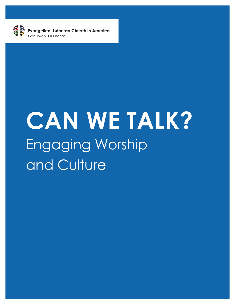

**Evangelical Lutheran Church in America** God's work Our hands

# **CAN WE TALK?** Engaging Worship and Culture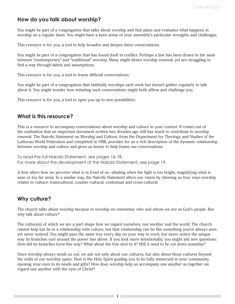# **How do you talk about worship?**

You might be part of a congregation that talks about worship and that plans and evaluates what happens in worship on a regular basis. You might have a keen sense of your assembly's particular strengths and challenges.

This resource is for you, a tool to help broaden and deepen these conversations.

You might be part of a congregation that has found itself in conflict. Perhaps a line has been drawn in the sand between "contemporary" and "traditional" worship. Many might desire worship renewal, yet are struggling to find a way through labels and assumptions.

This resource is for you, a tool to frame difficult conversations.

You might be part of a congregation that faithfully worships each week but doesn't gather regularly to talk about it. You might wonder how initiating such conversations might both affirm and challenge you.

This resource is for you, a tool to open you up to new possibilities.

# **What is this resource?**

This is a resource to accompany conversations about worship and culture in your context. It comes out of the realization that an important document written two decades ago still has much to contribute to worship renewal. The Nairobi Statement on Worship and Culture, from the Department for Theology and Studies of the Lutheran World Federation and completed in 1996, provides for us a rich description of the dynamic relationship between worship and culture and gives us lenses to help frame our conversations.

To read the full Nairobi Statement, see pages 16-18. For more about the development of the Nairobi Statement, see page 19.

A lens alters how we perceive what is in front of us—shading when the light is too bright, magnifying what is near or too far away. In a similar way, the Nairobi Statement alters our vision by showing us four ways worship relates to culture: transcultural, counter-cultural, contextual and cross-cultural.

# **Why culture?**

The church talks about worship because in worship we remember who and whose we are as God's people. But why talk about culture?

The culture(s) of which we are a part shape how we regard ourselves, one another and the world. The church cannot help but be in a relationship with culture, but that relationship can be like something you've always seen yet never noticed. You might pass the same tree every day on your way to work, but never notice the unique way its branches curl around the power line above. If you look more intentionally, you might ask new questions: How did its branches form this way? What about the tree next to it? Will it need to be cut down someday?

Since worship always sends us out, we ask not only about our cultures, but also about those cultures beyond the walls of our worship space. How is the Holy Spirit guiding you to be fully immersed in your community, opening your eyes to its needs and gifts? How does worship help us accompany one another as together we regard one another with the eyes of Christ?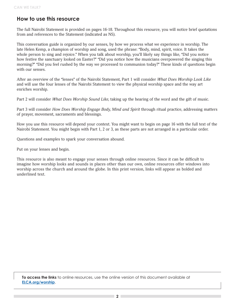# **How to use this resource**

The full Nairobi Statement is provided on pages 16-18. Throughout this resource, you will notice brief quotations from and references to the Statement (indicated as NS).

This conversation guide is organized by our senses, by how we process what we experience in worship. The late Helen Kemp, a champion of worship and song, used the phrase: "Body, mind, spirit, voice. It takes the whole person to sing and rejoice." When you talk about worship, you'll likely say things like, "Did you notice how festive the sanctuary looked on Easter?" "Did you notice how the musicians overpowered the singing this morning?" "Did you feel rushed by the way we processed to communion today?" These kinds of questions begin with our senses.

After an overview of the "lenses" of the Nairobi Statement, Part 1 will consider *What Does Worship Look Like* and will use the four lenses of the Nairobi Statement to view the physical worship space and the way art enriches worship.

Part 2 will consider *What Does Worship Sound Like*, taking up the hearing of the word and the gift of music.

Part 3 will consider *How Does Worship Engage Body, Mind and Spirit* through ritual practice, addressing matters of prayer, movement, sacraments and blessings.

How you use this resource will depend your context. You might want to begin on page 16 with the full text of the Nairobi Statement. You might begin with Part 1, 2 or 3, as these parts are not arranged in a particular order.

Questions and examples to spark your conversation abound.

Put on your lenses and begin.

This resource is also meant to engage your senses through online resources. Since it can be difficult to imagine how worship looks and sounds in places other than our own, online resources offer windows into worship across the church and around the globe. In this print version, links will appear as bolded and underlined text.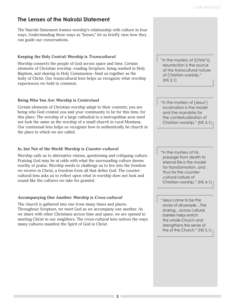# **The Lenses of the Nairobi Statement**

The Nairobi Statement frames worship's relationship with culture in four ways. Understanding these ways as "lenses," let us briefly view how they can guide our conversations.

#### **Keeping the Holy Central: Worship is** *Transcultural*

Worship connects the people of God across space and time. Certain elements of Christian worship—reading Scripture, being washed in Holy Baptism, and sharing in Holy Communion—bind us together as the body of Christ. Our transcultural lens helps us recognize what worship experiences we hold in common.

#### **Being Who You Are: Worship is** *Contextual*

Certain elements of Christian worship adapt to their contexts; you are being who God created you and your community to be for this time, for this place. The worship of a large cathedral in a metropolitan area need not look the same as the worship of a small church in rural Montana. Our contextual lens helps us recognize how to authentically be church in the place to which we are called.

#### **In, but Not of the World: Worship is** *Counter-cultural*

Worship calls us to alternative visions, questioning and critiquing culture. Praising God may be at odds with what the surrounding culture deems worthy of praise. Worship needs to challenge us to live into the freedom we receive in Christ, a freedom from all that defies God. The countercultural lens asks us to reflect upon what in worship does not look and sound like the cultures we take for granted.

#### **Accompanying One Another: Worship is** *Cross-cultural*

The church is gathered into one from many times and places. Throughout Scripture, we meet God as we accompany one another. As we share with other Christians across time and space, we are opened to meeting Christ in our neighbors. The cross-cultural lens notices the ways many cultures manifest the Spirit of God in Christ.

"In the mystery of [Christ's] resurrection is the source of the transcultural nature of Christian worship." (NS 2.1)

"In the mystery of [Jesus'] incarnation is the model and the mandate for the contextualization of Christian worship." (NS 3.1)

"In the mystery of his passage from death to eternal life is the model for transformation, and thus for the counter cultural nature of Christian worship." (NS 4.1)

"Jesus came to be the savior of all people…The sharing…across cultural barriers helps enrich the whole Church and strengthens the sense of the of the Church." (NS 5.1)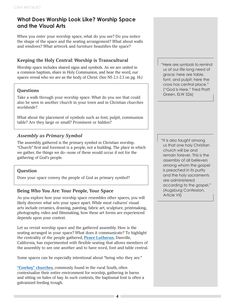# **What Does Worship Look Like? Worship Space and the Visual Arts**

When you enter your worship space, what do you see? Do you notice the shape of the space and the seating arrangement? What about walls and windows? What artwork and furniture beautifies the space?

# **Keeping the Holy Central: Worship is Transcultural**

Worship space includes shared signs and symbols. As we are united in a common baptism, share in Holy Communion, and hear the word, our spaces reveal who we are as the body of Christ. (See NS 2.1-2.3 on pg. 16.)

# **Questions**

Take a walk through your worship space. What do you see that could also be seen in another church in your town and in Christian churches worldwide?

What about the placement of symbols such as font, pulpit, communion table? Are they large or small? Prominent or hidden?

# *Assembly as Primary Symbol*

The assembly gathered is the primary symbol in Christian worship. "Church" first and foremost is a people, not a building. The place in which we gather, the things we do—none of these would occur if not for the gathering of God's people.

#### **Question**

Does your space convey the people of God as primary symbol?

# **Being Who You Are: Your People, Your Space**

As you explore how your worship space resembles other spaces, you will likely discover what sets your space apart. While most cultures' visual arts include ceramics, drawing, painting, fabric art, sculpture, printmaking, photography, video and filmmaking, how these art forms are experienced depends upon your context.

Let us revisit worship space and the gathered assembly. How is the seating arranged in your space? What does it communicate? To highlight the centrality of the people gathered, **[Peace Lutheran](http://peacejourney.org/sanctuary-sacred-spaces-2/)**, Danville, California, has experimented with flexible seating that allows members of the assembly to see one another and to have word, font and table central.

Some spaces can be especially intentional about "being who they are."

**["Cowboy" churches](http://thousandhillscowboychurch.com/wp-content/uploads/2012/06/530940_10151485596760258_1861266034_n.jpg)**, commonly found in the rural South, often contextualize their entire environment for worship, gathering in barns and sitting on bales of hay. In such contexts, the baptismal font is often a galvanized feeding trough.

"Here are symbols to remind us of our life long need of grace; here are table, font, and pulpit; here the cross has central place." ("God Is Here," Fred Pratt Green, ELW 526)

"It is also taught among us that one holy Christian church will be and remain forever. This is the assembly of all believers among whom the gospel is preached in its purity and the holy sacraments are administered according to the gospel." (Augsburg Confession, Article VII)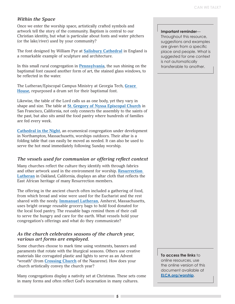# *Within the Space*

Once we enter the worship space, artistically crafted symbols and artwork tell the story of the community. Baptism is central to our Christian identity, but what is particular about fonts and water pitchers (or the lake/river) used by your community?

The font designed by William Pye at **[Salisbury Cathedral](http://www.williampye.com/works/salisbury-cathedral-font)** in England is a remarkable example of sculpture and architecture.

In this small rural congregation in **[Pennsylvania](http://www.beaverlutheranchurch.org/worship.html)**, the sun shining on the baptismal font caused another form of art, the stained glass windows, to be reflected in the water.

The Lutheran/Episcopal Campus Ministry at Georgia Tech, **[Grace](https://www.facebook.com/photo.php?fbid=10208437714286799&set=g.99867938213&type=1&theater)  [House](https://www.facebook.com/photo.php?fbid=10208437714286799&set=g.99867938213&type=1&theater)**, repurposed a drum set for their baptismal font.

Likewise, the table of the Lord calls us as one body, yet they vary in shape and size. The table at **[St. Gregory of Nyssa Episcopal Church](https://www.flickr.com/photos/saintgregorys-nyssa/sets/72157633771781664/with/9716549183/)** in San Francisco, California, not only connects the assembly to the saints of the past, but also sits amid the food pantry where hundreds of families are fed every week.

**[Cathedral in the Night](https://www.facebook.com/CathedralintheNight/photos/pb.142318215816374.-2207520000.1463413914./841217649259757/?type=3&theater)**, an ecumenical congregation under development in Northampton, Massachusetts, worships outdoors. Their altar is a folding table that can easily be moved as needed. It can also be used to serve the hot meal immediately following Sunday worship.

# *The vessels used for communion or offering reflect context*

Many churches reflect the culture they identify with through fabrics and other artwork used in the environment for worship. **[Resurrection](https://lh3.googleusercontent.com/-LXirobVHhxw/Ti8sPS293RI/AAAAAAAArf4/BYaJBt1gf1w79BU3a-pE9i0eK5HM4pNPgCHM/s912/Resurrection%2BLutheran%2Baltar%2Bfabric.jpg)  [Lutheran](https://lh3.googleusercontent.com/-LXirobVHhxw/Ti8sPS293RI/AAAAAAAArf4/BYaJBt1gf1w79BU3a-pE9i0eK5HM4pNPgCHM/s912/Resurrection%2BLutheran%2Baltar%2Bfabric.jpg)** in Oakland, California, displays an altar cloth that reflects the East African heritage of many Resurrection members.

The offering in the ancient church often included a gathering of food, from which bread and wine were used for the Eucharist and the rest shared with the needy. **[Immanuel Lutheran](http://immanuel-amherst.org/orange-bag-food-drive/)**, Amherst, Massachusetts, uses bright orange reusable grocery bags to hold food donated for the local food pantry. The reusable bags remind them of their call to serve the hungry and care for the earth. What vessels hold your congregation's offerings and what do they communicate?

# *As the church celebrates seasons of the church year, various art forms are employed.*

Some churches choose to mark time using vestments, banners and paraments that rotate with the liturgical seasons. Others use creative materials like corrugated plastic and lights to serve as an Advent "wreath" (from **[Crossing Church](http://www.churchstagedesignideas.com/advent-wreath/)** of the Nazarene). How does your church artistically convey the church year?

Many congregations display a nativity set at Christmas. These sets come in many forms and often reflect God's incarnation in many cultures.

#### **Important reminder**—

Throughout this resource, suggestions and examples are given from a specific place and people. What is suggested for one context is not automatically transferable to another.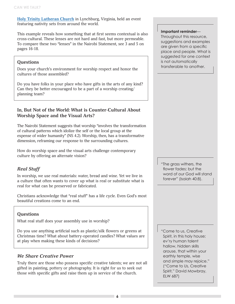**[Holy Trinity Lutheran Church](http://www.newsadvance.com/news/local/lynchburg-church-to-display-dozens-of-nativity-sets-from-around/article_d6a10712-5edf-11e3-8f03-0019bb30f31a.html)** in Lynchburg, Virginia, held an event featuring nativity sets from around the world.

This example reveals how something that at first seems contextual is also cross-cultural. These lenses are not hard and fast, but more permeable. To compare these two "lenses" in the Nairobi Statement, see 3 and 5 on pages 16-18.

#### **Questions**

Does your church's environment for worship respect and honor the cultures of those assembled?

Do you have folks in your place who have gifts in the arts of any kind? Can they be better encouraged to be a part of a worship creating/ planning team?

# **In, But Not of the World: What is Counter-Cultural About Worship Space and the Visual Arts?**

The Nairobi Statement suggests that worship "involves the transformation of cultural patterns which idolize the self or the local group at the expense of wider humanity" (NS 4.2). Worship, then, has a transformative dimension, reframing our response to the surrounding cultures.

How do worship space and the visual arts challenge contemporary culture by offering an alternate vision?

#### *Real Stuff*

In worship, we use real materials: water, bread and wine. Yet we live in a culture that often wants to cover up what is real or substitute what is real for what can be preserved or fabricated.

Christians acknowledge that "real stuff" has a life cycle. Even God's most beautiful creations come to an end.

#### **Questions**

What real stuff does your assembly use in worship?

Do you use anything artificial such as plastic/silk flowers or greens at Christmas time? What about battery-operated candles? What values are at play when making these kinds of decisions?

#### *We Share Creative Power*

Truly there are those who possess specific creative talents; we are not all gifted in painting, pottery or photography. It is right for us to seek out those with specific gifts and raise them up in service of the church.

#### **Important reminder**—

Throughout this resource, suggestions and examples are given from a specific place and people. What is suggested for one context is not automatically transferable to another.

"The grass withers, the flower fades; but the word of our God will stand forever" (Isaiah 40:8).

"Come to us, Creative Spirit, in this holy house; ev'ry human talent hallow, hidden skills arouse, that within your earthly temple, wise and simple may rejoice." ("Come to Us, Creative Spirit," David Mowbray, ELW 687)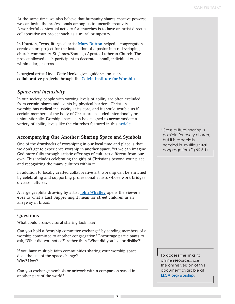At the same time, we also believe that humanity shares creative powers; we can invite the professionals among us to unearth creativity. A wonderful contextual activity for churches is to have an artist direct a collaborative art project such as a mural or tapestry.

In Houston, Texas, liturgical artist **[Mary Button](https://claytonfaulkner.com/2016/06/06/communal-artwork/)** helped a congregation create an art project for the installation of a pastor in a redeveloping church community, St. James/Santiago Apostol Lutheran Church. The project allowed each participant to decorate a small, individual cross within a larger cross.

Liturgical artist Linda Witte Henke gives guidance on such **collaborative projects** through the **[Calvin Institute](http://worship.calvin.edu/resources/resource-library/seven-models-collaborative-visual-arts-projects-for-worship/) for Worship.**

# *Space and Inclusivity*

In our society, people with varying levels of ability are often excluded from certain places and events by physical barriers. Christian worship has radical inclusivity at its core, and it should trouble us if certain members of the body of Christ are excluded intentionally or unintentionally. Worship spaces can be designed to accommodate a variety of ability levels like the churches featured in this **[article](http://worship.calvin.edu/resources/resource-library/accessibility-in-worship-architecture-does-your-church-welcome-everyone-)**.

# **Accompanying One Another: Sharing Space and Symbols**

One of the drawbacks of worshiping in our local time and place is that we don't get to experience worship in another space. Yet we can imagine God more fully through artistic offerings of cultures different from our own. This includes celebrating the gifts of Christians beyond your place and recognizing the many cultures within it.

In addition to locally crafted collaborative art, worship can be enriched by celebrating and supporting professional artists whose work bridges diverse cultures.

A large graphite drawing by artist **[John Whalley](https://www.pinterest.com/pin/390124386440809330/)** opens the viewer's eyes to what a Last Supper might mean for street children in an alleyway in Brazil.

# **Questions**

What could cross-cultural sharing look like?

Can you hold a "worship committee exchange" by sending members of a worship committee to another congregation? Encourage participants to ask, "What did you notice?" rather than "What did you like or dislike?"

If you have multiple faith communities sharing your worship space, does the use of the space change? Why? How?

Can you exchange symbols or artwork with a companion synod in another part of the world?

"Cross cultural sharing is possible for every church, but it is especially needed in multicultural congregations." (NS 5.1)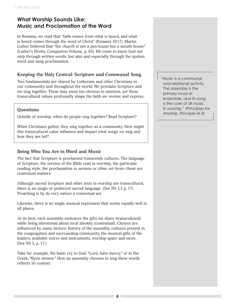# **What Worship Sounds Like: Music and Proclamation of the Word**

In Romans, we read that "faith comes from what is heard, and what is heard comes through the word of Christ" (Romans 10:17). Martin Luther believed that "the church is not a pen-house but a mouth-house" (Luther's Works, Companion Volume, p. 63). We come to know God not only through written words, but also and especially through the spoken word and sung proclamation.

# **Keeping the Holy Central: Scripture and Communal Song**

Two fundamentals are shared by Lutherans and other Christians in our community and throughout the world: We proclaim Scripture and we sing together. These may seem too obvious to mention, yet these transcultural values profoundly shape the faith we receive and express.

#### **Questions**

Outside of worship, when do people sing together? Read Scripture?

When Christians gather, they sing together as a community. How might this transcultural value influence and impact what songs we sing and how they are led?

# **Being Who You Are in Word and Music**

The fact that Scripture is proclaimed transcends cultures. The language of Scripture, the version of the Bible read in worship, the particular reading style, the proclamation in sermon or other art form—these are contextual matters.

Although sacred Scripture and other texts in worship are transcultural, there is no single or preferred sacred language. (See NS 2.2 p. 17) Preaching is by its very nature a contextual act.

Likewise, there is no single musical expression that works equally well in all places.

At its best, each assembly embraces the gifts we share (transcultural) while being intentional about local identity (contextual). Choices are influenced by many factors: history of the assembly, cultures present in the congregation and surrounding community, the musical gifts of the leaders, available voices and instruments, worship space and more. (See NS 3, p. 17.)

Take for example, the basic cry to God: "Lord, have mercy," or in the Greek, "Kyrie eleison." How an assembly chooses to sing these words reflects its context.

"Music is a communal and relational activity. The assembly is the primary musical ensemble, and its song is the core of all music in worship." (Principles for Worship, Principle M-3)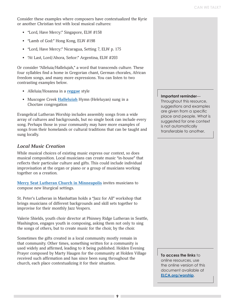Consider these examples where composers have contextualized the Kyrie or another Christian text with local musical cultures:

- "Lord, Have Mercy:" Singapore, ELW #158
- "Lamb of God:" Hong Kong, ELW #198
- "Lord, Have Mercy:" Nicaragua, Setting 7, ELW p. 175
- "At Last, Lord/Ahora, Señor:" Argentina, ELW #203

Or consider "Alleluia/Hallelujah," a word that transcends culture. These four syllables find a home in Gregorian chant, German chorales, African freedom songs, and many more expressions. You can listen to two contrasting examples below.

- Alleluia/Hosanna in a **[reggae](https://www.youtube.com/watch?v=hoM6ZTP5xuI)** style
- Muscogee Creek **[Halleluiah](https://www.youtube.com/watch?v=WIwkzUZUMIk)** Hymn (Heleluyan) sung in a Choctaw congregation

Evangelical Lutheran Worship includes assembly songs from a wide array of cultures and backgrounds, but no single book can include every song. Perhaps those in your community may have more examples of songs from their homelands or cultural traditions that can be taught and sung locally.

#### *Local Music Creation*

While musical choices of existing music express our context, so does musical composition. Local musicians can create music "in-house" that reflects their particular culture and gifts. This could include individual improvisation at the organ or piano or a group of musicians working together on a creation.

**[Mercy Seat Lutheran Church in Minneapolis](http://www.nemercy.org/category/liturgy/)** invites musicians to compose new liturgical settings.

St. Peter's Lutheran in Manhattan holds a "Jazz for All" workshop that brings musicians of different backgrounds and skill sets together to improvise for their monthly Jazz Vespers.

Valerie Shields, youth choir director at Phinney Ridge Lutheran in Seattle, Washington, engages youth in composing, asking them not only to sing the songs of others, but to create music for the choir, by the choir.

Sometimes the gifts created in a local community mostly remain in that community. Other times, something written for a community is used widely and affirmed, leading to it being published. Holden Evening Prayer composed by Marty Haugen for the community at Holden Village received such affirmation and has since been sung throughout the church, each place contextualizing it for their situation.

#### **Important reminder**—

Throughout this resource, suggestions and examples are given from a specific place and people. What is suggested for one context is not automatically transferable to another.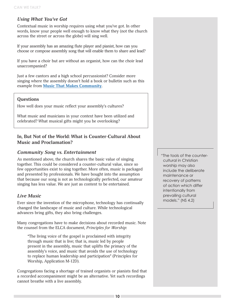# *Using What You've Got*

Contextual music in worship requires using what you've got. In other words, know your people well enough to know what they (not the church across the street or across the globe) will sing well.

If your assembly has an amazing flute player and pianist, how can you choose or compose assembly song that will enable them to share and lead?

If you have a choir but are without an organist, how can the choir lead unaccompanied?

Just a few cantors and a high school percussionist? Consider more singing where the assembly doesn't hold a book or bulletin such as this example from **[Music That Makes Community](http://www.musicthatmakescommunity.org/what_we_need_is_here)**.

#### **Questions**

How well does your music reflect your assembly's cultures?

What music and musicians in your context have been utilized and celebrated? What musical gifts might you be overlooking?

# **In, But Not of the World: What is Counter-Cultural About Music and Proclamation?**

#### *Community Song vs. Entertainment*

As mentioned above, the church shares the basic value of singing together. This could be considered a counter-cultural value, since so few opportunities exist to sing together. More often, music is packaged and presented by professionals. We have bought into the assumption that because our song is not as technologically perfected, our amateur singing has less value. We are just as content to be entertained.

#### *Live Music*

Ever since the invention of the microphone, technology has continually changed the landscape of music and culture. While technological advances bring gifts, they also bring challenges.

Many congregations have to make decisions about recorded music. Note the counsel from the ELCA document, *Principles for Worship*:

"The living voice of the gospel is proclaimed with integrity through music that is live; that is, music led by people present in the assembly, music that uplifts the primacy of the assembly's voice, and music that avoids the use of technology to replace human leadership and participation" (Principles for Worship, Application M-12D).

Congregations facing a shortage of trained organists or pianists find that a recorded accompaniment might be an alternative. Yet such recordings cannot breathe with a live assembly.

"The tools of the counter cultural in Christian worship may also include the deliberate maintenance or recovery of patterns of action which differ intentionally from prevailing cultural models." (NS 4.2)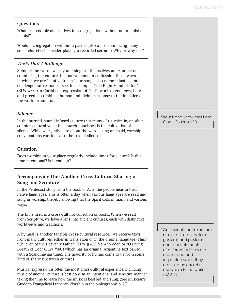# **Questions**

What are possible alternatives for congregations without an organist or pianist?

Would a congregation without a pastor (also a problem facing many small churches) consider playing a recorded sermon? Why or why not?

# *Texts that Challenge*

Some of the words we say and sing are themselves an example of countering the culture. Just as we name in confession those ways in which we are "captive to sin," our songs also name injustice and challenge our response. See, for example, "The Right Hand of God" (ELW #889), a Caribbean expression of God's work to end envy, hate and greed. It combines human and divine response to the injustice of the world around us.

# *Silence*

In the hurried, sound-infused culture that many of us swim in, another counter-cultural value the church nourishes is the cultivation of silence. While we rightly care about the words sung and said, worship conversations consider also the role of silence.

# **Question**

Does worship in your place regularly include times for silence? Is this time intentional? Is it enough?

# **Accompanying One Another: Cross-Cultural Sharing of Song and Scripture**

In the Pentecost story from the book of Acts, the people hear in their native languages. This is often a day when various languages are read and sung in worship, thereby showing that the Spirit calls in many and various ways.

The Bible itself is a cross-cultural collection of books. When we read from Scripture, we have a lens into ancient cultures, each with distinctive worldviews and traditions.

A hymnal is another tangible cross-cultural resource. We receive texts from many cultures, either in translation or in the original language (Think "Children of the Heavenly Father" (ELW #781) from Sweden or "O Living Breath of God" (ELW #407) which has an original Argentine text paired with a Scandinavian tune). The majority of hymns come to us from some kind of sharing between cultures.

Musical expression is often the most cross-cultural experience. Including music of another culture is best done in an intentional and sensitive manner, taking the time to learn how the music is best led and sung. (See Musician's Guide to Evangelical Lutheran Worship in the bibliography, p. 20).

"Be still and know that I am God." Psalm 46:10

"Care should be taken that music, art, architecture, gestures and postures, and other elements of different cultures are understood and respected when they are used by churches elsewhere in the world." (NS 5.2)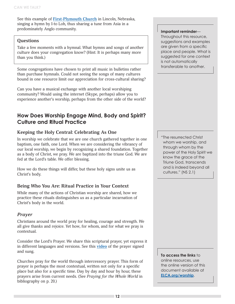See this example of **[First-Plymouth Church](https://www.youtube.com/watch?v=NQQvswwYh5c)** in Lincoln, Nebraska, singing a hymn by I-to Loh, thus sharing a tune from Asia in a predominately Anglo community.

#### **Questions**

Take a few moments with a hymnal. What hymns and songs of another culture does your congregation know? (Hint: It is perhaps many more than you think.)

Some congregations have chosen to print all music in bulletins rather than purchase hymnals. Could not seeing the songs of many cultures bound in one resource limit our appreciation for cross-cultural sharing?

Can you have a musical exchange with another local worshiping community? Would using the internet (Skype, perhaps) allow you to experience another's worship, perhaps from the other side of the world?

# **How Does Worship Engage Mind, Body and Spirit? Culture and Ritual Practice**

# **Keeping the Holy Central: Celebrating As One**

In worship we celebrate that we are one church gathered together in one baptism, one faith, one Lord. When we are considering the vibrancy of our local worship, we begin by recognizing a shared foundation. Together as a body of Christ, we pray. We are baptized into the triune God. We are fed at the Lord's table. We offer blessing.

How we do these things will differ, but these holy signs unite us as Christ's body.

# **Being Who You Are: Ritual Practice in Your Context**

While many of the actions of Christian worship are shared, how we practice these rituals distinguishes us as a particular incarnation of Christ's body in the world.

# *Prayer*

Christians around the world pray for healing, courage and strength. We all give thanks and rejoice. Yet how, for whom, and for what we pray is contextual.

Consider the Lord's Prayer. We share this scriptural prayer, yet express it in different languages and versions. See this **[video](https://www.youtube.com/watch?v=ZEc5MosW-R4)** of the prayer signed and sung.

Churches pray for the world through intercessory prayer. This form of prayer is perhaps the most contextual, written not only for a specific place but also for a specific time. Day by day and hour by hour, these prayers arise from current needs. (See *Praying for the Whole World* in bibliography on p. 20.)

#### **Important reminder**—

Throughout this resource, suggestions and examples are given from a specific place and people. What is suggested for one context is not automatically transferable to another.

"The resurrected Christ whom we worship, and through whom by the power of the Holy Spirit we know the grace of the Triune God, transcends and is indeed beyond all cultures." (NS 2.1)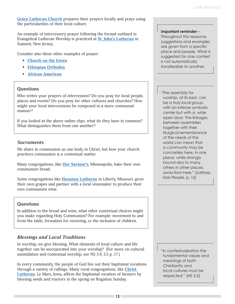**[Grace Lutheran Church](http://graceofav.org/category/prayers-of-intercession)** prepares their prayers locally and prays using the particularities of their local culture.

An example of intercessory prayer following the format outlined in Evangelical Lutheran Worship is practiced at **[St. John's Lutheran](https://www.youtube.com/watch?v=BCof3BttOQI)** in Summit, New Jersey.

Consider also these other examples of prayer:

- **• [Church on the Green](https://www.youtube.com/watch?v=mefyRmj2fbU)**
- **• [Ethiopian Orthodox](https://www.youtube.com/watch?v=aV9OtNcRpwQ)**
- **• [African-American](https://www.youtube.com/watch?v=WmEQwPKs5GU)**

#### **Questions**

Who writes your prayers of intercession? Do you pray for local people, places and events? Do you pray for other cultures and churches? How might your local intercessions be composed in a more communal manner?

If you looked at the above online clips, what do they have in common? What distinguishes them from one another?

#### *Sacraments*

We share in communion as one body in Christ, but how your church practices communion is a contextual matter.

Many congregations, like **[Our Saviour's](https://www.youtube.com/watch?v=8xuLIrzJ7uc)**, Minneapolis, bake their own communion bread.

Some congregations like **[Hosanna Lutheran](http://www.kshb.com/news/local-news/local-church-lets-members-harvest-grapes-for-communion-wine)** in Liberty, Missouri, grow their own grapes and partner with a local winemaker to produce their own communion wine.

#### **Questions**

In addition to the bread and wine, what other contextual choices might you make regarding Holy Communion? For example: movement to and from the table, formation for receiving, or the inclusion of children.

# *Blessings and Local Traditions*

In worship, we give blessing. What elements of local culture and life together can be incorporated into your worship? (For more on cultural assimilation and contextual worship, see NS 3.4, 3.5 p. 17.)

In every community, the people of God live out their baptismal vocations through a variety of callings. Many rural congregations, like **[Christ](http://siouxcityjournal.com/news/bless-this-tractor-these-seeds-those-who-plant/article_036fdaa4-4355-5f06-b644-6c418c6477f2.html)  [Lutheran](http://siouxcityjournal.com/news/bless-this-tractor-these-seeds-those-who-plant/article_036fdaa4-4355-5f06-b644-6c418c6477f2.html)**, Le Mars, Iowa, affirm the baptismal vocation of farmers by blessing seeds and tractors in the spring on Rogation Sunday.

#### **Important reminder**—

Throughout this resource, suggestions and examples are given from a specific place and people. What is suggested for one context is not automatically transferable to another.

"The assembly for worship, at its best, can be a truly local group, with an intense symbolic center but with a wide open door. The linkages between assemblies together with their liturgical remembrance of the needs of the world can mean that a community may be concretely here, in one place, while strongly bound also to many others in other places, away from here." (Lathrop, *Holy People*, p. 12)

"In contextualization the fundamental values and meanings of both Christianity and local cultures must be respected." (NS 3.5)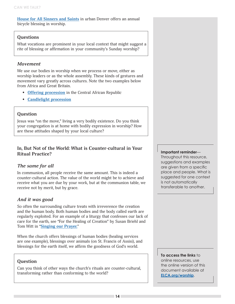**[House for All Sinners and Saints](http://www.patheos.com/blogs/nadiabolzweber/2012/06/a-blessing-of-the-bicycles/)** in urban Denver offers an annual bicycle blessing in worship.

#### **Questions**

What vocations are prominent in your local context that might suggest a rite of blessing or affirmation in your community's Sunday worship?

#### *Movement*

We use our bodies in worship when we process or move, either as worship leaders or as the whole assembly. These kinds of gestures and movement vary greatly across cultures. Note the two examples below from Africa and Great Britain.

- **• [Offering procession](https://www.youtube.com/watch?v=yUshSQHGhgk)** in the Central African Republic
- **• [Candlelight procession](https://www.youtube.com/watch?v=D7LBXBXmGkA)**

#### **Question**

Jesus was "on the move," living a very bodily existence. Do you think your congregation is at home with bodily expression in worship? How are these attitudes shaped by your local culture?

# **In, But Not of the World: What is Counter-cultural in Your Ritual Practice?**

# *The same for all*

In communion, all people receive the same amount. This is indeed a counter-cultural action. The value of the world might be to achieve and receive what you are due by your work, but at the communion table, we receive not by merit, but by grace.

#### *And it was good*

So often the surrounding culture treats with irreverence the creation and the human body. Both human bodies and the body called earth are regularly exploited. For an example of a liturgy that confesses our lack of care for the earth, see "For the Healing of Creation" by Susan Briehl and Tom Witt in "**[Singing our Prayer.](http://store.augsburgfortress.org/store/product/8472/Singing-Our-Prayer-Companion-to-Holden-Prayer-Around-the-Cross)**"

When the church offers blessings of human bodies (healing services are one example), blessings over animals (on St. Francis of Assisi), and blessings for the earth itself, we affirm the goodness of God's world.

# **Question**

Can you think of other ways the church's rituals are counter-cultural, transforming rather than conforming to the world?

#### **Important reminder**—

Throughout this resource, suggestions and examples are given from a specific place and people. What is suggested for one context is not automatically transferable to another.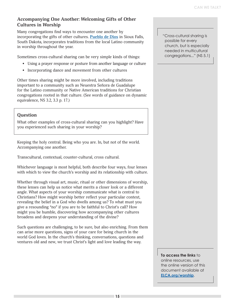# **Accompanying One Another: Welcoming Gifts of Other Cultures in Worship**

Many congregations find ways to encounter one another by incorporating the gifts of other cultures. **[Pueblo de Dios](https://youtu.be/K2RaKkQd_dw?t=1m6s)** in Sioux Falls, South Dakota, incorporates traditions from the local Latino community in worship throughout the year.

Sometimes cross-cultural sharing can be very simple kinds of things:

- Using a prayer response or posture from another language or culture
- Incorporating dance and movement from other cultures

Other times sharing might be more involved, including traditions important to a community such as Neuestra Señora de Guadalupe for the Latino community or Native American traditions for Christian congregations rooted in that culture. (See words of guidance on dynamic equivalence, NS 3.2, 3.3 p. 17.)

# **Question**

What other examples of cross-cultural sharing can you highlight? Have you experienced such sharing in your worship?

Keeping the holy central. Being who you are. In, but not of the world. Accompanying one another.

Transcultural, contextual, counter-cultural, cross cultural.

Whichever language is most helpful, both describe four ways, four lenses with which to view the church's worship and its relationship with culture.

Whether through visual art, music, ritual or other dimensions of worship, these lenses can help us notice what merits a closer look or a different angle. What aspects of your worship communicate what is central to Christians? How might worship better reflect your particular context, revealing the belief in a God who dwells among us? To what must you give a resounding "no" if you are to be faithful to Christ's call? How might you be humble, discovering how accompanying other cultures broadens and deepens your understanding of the divine?

Such questions are challenging, to be sure, but also enriching. From them can arise more questions, signs of your care for being church in the world God loves. In the church's thinking, conversations, questions and ventures old and new, we trust Christ's light and love leading the way.

"Cross-cultural sharing is possible for every church, but is especially needed in multicultural congregations..." (NS 5.1)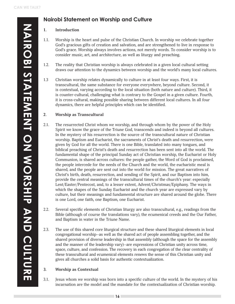# **1. Introduction**

- 1.1. Worship is the heart and pulse of the Christian Church. In worship we celebrate together God's gracious gifts of creation and salvation, and are strengthened to live in response to God's grace. Worship always involves actions, not merely words. To consider worship is to consider music, art, and architecture, as well as liturgy and preaching.
- 1.2. The reality that Christian worship is always celebrated in a given local cultural setting draws our attention to the dynamics between worship and the world's many local cultures.
- 1.3 Christian worship relates dynamically to culture in at least four ways. First, it is transcultural, the same substance for everyone everywhere, beyond culture. Second, it is contextual, varying according to the local situation (both nature and culture). Third, it is counter-cultural, challenging what is contrary to the Gospel in a given culture. Fourth, it is cross-cultural, making possible sharing between different local cultures. In all four dynamics, there are helpful principles which can be identified.

# **2. Worship as Transcultural**

- 2.1. The resurrected Christ whom we worship, and through whom by the power of the Holy Spirit we know the grace of the Triune God, transcends and indeed is beyond all cultures. In the mystery of his resurrection is the source of the transcultural nature of Christian worship. Baptism and Eucharist, the sacraments of Christ's death and resurrection, were given by God for all the world. There is one Bible, translated into many tongues, and biblical preaching of Christ's death and resurrection has been sent into all the world. The fundamental shape of the principal Sunday act of Christian worship, the Eucharist or Holy Communion, is shared across cultures: the people gather, the Word of God is proclaimed, the people intercede for the needs of the Church and the world, the eucharistic meal is shared, and the people are sent out into the world for mission. The great narratives of Christ's birth, death, resurrection, and sending of the Spirit, and our Baptism into him, provide the central meanings of the transcultural times of the church's year: especially Lent/Easter/Pentecost, and, to a lesser extent, Advent/Christmas/Epiphany. The ways in which the shapes of the Sunday Eucharist and the church year are expressed vary by culture, but their meanings and fundamental structure are shared around the globe. There is one Lord, one faith, one Baptism, one Eucharist.
- 2.2. Several specific elements of Christian liturgy are also transcultural, e.g., readings from the Bible (although of course the translations vary), the ecumenical creeds and the Our Father, and Baptism in water in the Triune Name.
- 2.3. The use of this shared core liturgical structure and these shared liturgical elements in local congregational worship—as well as the shared act of people assembling together, and the shared provision of diverse leadership in that assembly (although the space for the assembly and the manner of the leadership vary)—are expressions of Christian unity across time, space, culture, and confession. The recovery in each congregation of the clear centrality of these transcultural and ecumenical elements renews the sense of this Christian unity and gives all churches a solid basis for authentic contextualization.

# **3. Worship as Contextual**

3.1. Jesus whom we worship was born into a specific culture of the world. In the mystery of his incarnation are the model and the mandate for the contextualization of Christian worship.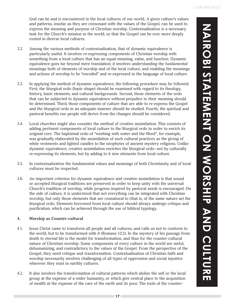God can be and is encountered in the local cultures of our world. A given culture's values and patterns, insofar as they are consonant with the values of the Gospel, can be used to express the meaning and purpose of Christian worship. Contextualization is a necessary task for the Church's mission in the world, so that the Gospel can be ever more deeply rooted in diverse local cultures.

- 3.2. Among the various methods of contextualization, that of dynamic equivalence is particularly useful. It involves re-expressing components of Christian worship with something from a local culture that has an equal meaning, value, and function. Dynamic equivalence goes far beyond mere translation; it involves understanding the fundamental meanings both of elements of worship and of the local culture, and enabling the meanings and actions of worship to be "encoded" and re-expressed in the language of local culture.
- 3.3. In applying the method of dynamic equivalence, the following procedure may be followed. First, the liturgical ordo (basic shape) should be examined with regard to its theology, history, basic elements, and cultural backgrounds. Second, those elements of the ordo that can be subjected to dynamic equivalence without prejudice to their meaning should be determined. Third, those components of culture that are able to re-express the Gospel and the liturgical ordo in an adequate manner should be studied. Fourth, the spiritual and pastoral benefits our people will derive from the changes should be considered.
- 3.4. Local churches might also consider the method of creative assimilation. This consists of adding pertinent components of local culture to the liturgical ordo in order to enrich its original core. The baptismal ordo of "washing with water and the Word", for example, was gradually elaborated by the assimilation of such cultural practices as the giving of white vestments and lighted candles to the neophytes of ancient mystery religions. Unlike dynamic equivalence, creative assimilation enriches the liturgical ordo—not by culturally re-expressing its elements, but by adding to it new elements from local culture.
- 3.5. In contextualization the fundamental values and meanings of both Christianity and of local cultures must be respected.
- 3.6. An important criterion for dynamic equivalence and creative assimilation is that sound or accepted liturgical traditions are preserved in order to keep unity with the universal Church's tradition of worship, while progress inspired by pastoral needs is encouraged. On the side of culture, it is understood that not everything can be integrated with Christian worship, but only those elements that are connatural to (that is, of the same nature as) the liturgical ordo. Elements borrowed from local culture should always undergo critique and purification, which can be achieved through the use of biblical typology.

#### **4. Worship as Counter-cultural**

- 4.1. Jesus Christ came to transform all people and all cultures, and calls us not to conform to the world, but to be transformed with it (Romans 12:2). In the mystery of his passage from death to eternal life is the model for transformation, and thus for the counter-cultural nature of Christian worship. Some components of every culture in the world are sinful, dehumanizing, and contradictory to the values of the Gospel. From the perspective of the Gospel, they need critique and transformation. Contextualization of Christian faith and worship necessarily involves challenging of all types of oppression and social injustice wherever they exist in earthly cultures.
- 4.2. It also involves the transformation of cultural patterns which idolize the self or the local group at the expense of a wider humanity, or which give central place to the acquisition of wealth at the expense of the care of the earth and its poor. The tools of the counter-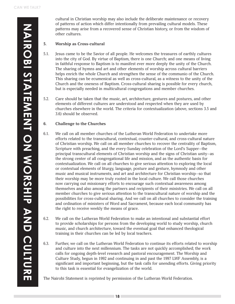**NAIROBI STATEMENT ON WORSHIP AND CULTURE**NAIROBI STATEMEME VIO WORSHIP AND CULTURE cultural in Christian worship may also include the deliberate maintenance or recovery of patterns of action which differ intentionally from prevailing cultural models. These patterns may arise from a recovered sense of Christian history, or from the wisdom of other cultures.

# **5. Worship as Cross-cultural**

- 5.1. Jesus came to be the Savior of all people. He welcomes the treasures of earthly cultures into the city of God. By virtue of Baptism, there is one Church; and one means of living in faithful response to Baptism is to manifest ever more deeply the unity of the Church. The sharing of hymns and art and other elements of worship across cultural barriers helps enrich the whole Church and strengthen the sense of the communio of the Church. This sharing can be ecumenical as well as cross-cultural, as a witness to the unity of the Church and the oneness of Baptism. Cross-cultural sharing is possible for every church, but is especially needed in multicultural congregations and member churches.
- 5.2. Care should be taken that the music, art, architecture, gestures and postures, and other elements of different cultures are understood and respected when they are used by churches elsewhere in the world. The criteria for contextualization (above, sections 3.5 and 3.6) should be observed.

# **6. Challenge to the Churches**

- 6.1. We call on all member churches of the Lutheran World Federation to undertake more efforts related to the transcultural, contextual, counter-cultural, and cross-cultural nature of Christian worship. We call on all member churches to recover the centrality of Baptism, Scripture with preaching, and the every-Sunday celebration of the Lord's Supper—the principal transcultural elements of Christian worship and the signs of Christian unity—as the strong center of all congregational life and mission, and as the authentic basis for contextualization. We call on all churches to give serious attention to exploring the local or contextual elements of liturgy, language, posture and gesture, hymnody and other music and musical instruments, and art and architecture for Christian worship—so that their worship may be more truly rooted in the local culture. We call those churches now carrying out missionary efforts to encourage such contextual awareness among themselves and also among the partners and recipients of their ministries. We call on all member churches to give serious attention to the transcultural nature of worship and the possibilities for cross-cultural sharing. And we call on all churches to consider the training and ordination of ministers of Word and Sacrament, because each local community has the right to receive weekly the means of grace.
- 6.2. We call on the Lutheran World Federation to make an intentional and substantial effort to provide scholarships for persons from the developing world to study worship, church music, and church architecture, toward the eventual goal that enhanced theological training in their churches can be led by local teachers.
- 6.3. Further, we call on the Lutheran World Federation to continue its efforts related to worship and culture into the next millennium. The tasks are not quickly accomplished; the work calls for ongoing depth-level research and pastoral encouragement. The Worship and Culture Study, begun in 1992 and continuing in and past the 1997 LWF Assembly, is a significant and important beginning, but the task calls for unending efforts. Giving priority to this task is essential for evangelization of the world.

The Nairobi Statement is reprinted by permission of the Lutheran World Federation.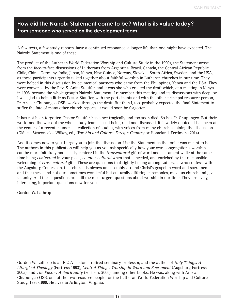# **How did the Nairobi Statement come to be? What is its value today? From someone who served on the development team**

A few texts, a few study reports, have a continued resonance, a longer life than one might have expected. The Nairobi Statement is one of these.

The product of the Lutheran World Federation Worship and Culture Study in the 1990s, the Statement arose from the face-to-face discussions of Lutherans from Argentina, Brazil, Canada, the Central African Republic, Chile, China, Germany, India, Japan, Kenya, New Guinea, Norway, Slovakia, South Africa, Sweden, and the USA, as these participants urgently talked together about faithful worship in Lutheran churches in our time. They were helped in this discussion by ecumenical partners who came from the Philippines, Kenya and the USA. They were convened by the Rev. S. Anita Stauffer, and it was she who created the draft which, at a meeting in Kenya in 1996, became the whole group's Nairobi Statement. I remember this meeting and its discussions with deep joy. I was glad to help a little as Pastor Stauffer, with the participants and with the other principal resource person, Fr. Anscar Chupungco OSB, worked through the draft. But then I, too, probably expected the final Statement to suffer the fate of many other church reports: it would soon be forgotten.

It has not been forgotten. Pastor Stauffer has since tragically and too soon died. So has Fr. Chupungco. But their work—and the work of the whole study team—is still being read and discussed. It is widely quoted. It has been at the center of a recent ecumenical collection of studies, with voices from many churches joining the discussion (Gláucia Vasconcelos Wilkey, ed., *Worship and Culture: Foreign Country* or Homeland, Eerdmans 2014).

And it comes now to you. I urge you to join the discussion. Use the Statement as the tool it was meant to be. The authors in this publication will help you as you ask specifically how your own congregation's worship can be more faithfully and clearly centered in the *transcultural* gift of word and sacrament while at the same time being *contextual* in your place, *counter-cultural* when that is needed, and enriched by the responsible welcoming of *cross-cultural* gifts. These are questions that rightly belong among Lutherans who confess, with the Augsburg Confession, that church is always an assembly around Christ's gospel in word and sacrament and that these, and not our sometimes wonderful but culturally differing ceremonies, make us church and give us unity. And these questions are still the most urgent questions about worship in our time. They are lively, interesting, important questions now for you.

Gordon W. Lathrop

Gordon W. Lathrop is an ELCA pastor, a retired seminary professor, and the author of *Holy Things: A Liturgical Theology* (Fortress 1993), *Central Things: Worship in Word and Sacrament* (Augsburg Fortress 2005), and *The Pastor: A Spirituality* (Fortress 2006), among other books. He was, along with Anscar Chupungco OSB, one of the two resource people for the Lutheran World Federation Worship and Culture Study, 1993-1999. He lives in Arlington, Virginia.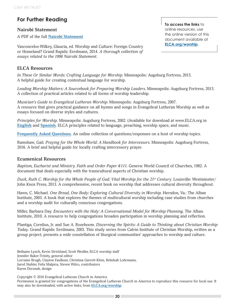# **For Further Reading**

#### **Nairobi Statement**

A PDF of the full **[Nairobi Statement](http://download.elca.org/ELCA%20Resource%20Repository/LWF_Nairobi_Statement_1994.pdf?_ga=1.226379545.280699238.1464710146)**

Vasconcelos-Wilkey, Glaucia, ed. Worship and Culture: Foreign Country or Homeland? Grand Rapids: Eerdmans, 2014. *A thorough collection of essays related to the 1996 Nairobi Statement*.

**ELCA Resources**

*In These Or Similar Words: Crafting Language for Worship*. Minneapolis: Augsburg Fortress, 2015. A helpful guide for creating contextual language for worship.

*Leading Worship Matters: A Sourcebook for Preparing Worship Leaders*. Minneapolis: Augsburg Fortress, 2013. A collection of practical articles related to all forms of worship leadership.

*Musician's Guide to Evangelical Lutheran Worship*. Minneapolis: Augsburg Fortress, 2007. A resource that gives practical guidance on all hymns and songs in Evangelical Lutheran Worship as well as essays focused on diverse styles and cultures.

*Principles for Worship*. Minneapolis: Augsburg Fortress, 2002. (Available for download at www.ELCA.org in **[English](http://download.elca.org/ELCA%20Resource%20Repository/Principles_for_Worship.pdf?_ga=1.188580523.280699238.1464710146)** and **[Spanish](http://download.elca.org/ELCA%20Resource%20Repository/Principios_para_la_Adoracion.pdf?_ga=1.188580523.280699238.1464710146)**. ELCA principles related to language, preaching, worship space, and music.

**[Frequently Asked Questions](http://www.elca.org/Our-Work/Congregations-and-Synods/Worship/FAQ?_ga=1.12486327.280699238.1464710146)**. An online collection of questions/responses on a host of worship topics.

Ramshaw, Gail. *Praying for the Whole World: A Handbook for Intercessors*. Minneapolis: Augsburg Fortress, 2016. A brief and helpful guide for locally crafting intercessory prayer.

#### **Ecumenical Resources**

*Baptism, Eucharist and Ministry. Faith and Order Paper #111*. Geneva: World Council of Churches, 1982. A document that deals especially with the transcultural aspects of Christian worship.

*Duck, Ruth C. Worship for the Whole People of God: Vital Worship for the 21st Century*. Louisville: Westminster/ John Knox Press, 2013. A comprehensive, recent book on worship that addresses cultural diversity throughout.

Hawn, C. Michael. *One Bread, One Body: Exploring Cultural Diversity in Worship.* Herndon, Va.: The Alban Institute, 2003. A book that explores the themes of multicultural worship including case studies from churches and a worship audit for culturally conscious congregations.

Miller, Barbara Day. *Encounters with the Holy: A Conversational Model for Worship Planning*. The Alban Institute, 2010. A resource to help congregations broaden participation in worship planning and reflection.

Plantiga, Cornlius, Jr. and Sue A. Rozeboom. *Discerning the Spirits: A Guide to Thinking about Christian Worship Today*. Grand Rapids: Eerdmans, 2003. This study series from Calvin Institute of Christian Worship, written as a group project, presents a wide constellation of liturgical communities' approaches to worship and culture.

Bethann Lynch, Kevin Strickland, Scott Weidler, ELCA worship staff Jennifer Baker-Trinity, general editor Lorraine Brugh, Clayton Faulkner, Christina Garrett-Klein, Rebekah Lohrmann, Jared Stahler, Felix Malpica, Steven Wilco, contributors Karen Dersnah, design

Copyright © 2016 Evangelical Lutheran Church in America Permission is granted for congregations of the Evangelical Lutheran Church in America to reproduce this resource for local use. It may also be downloaded, with active links, from **[ELCA.org/worship](http://www.elca.org/worship)**.